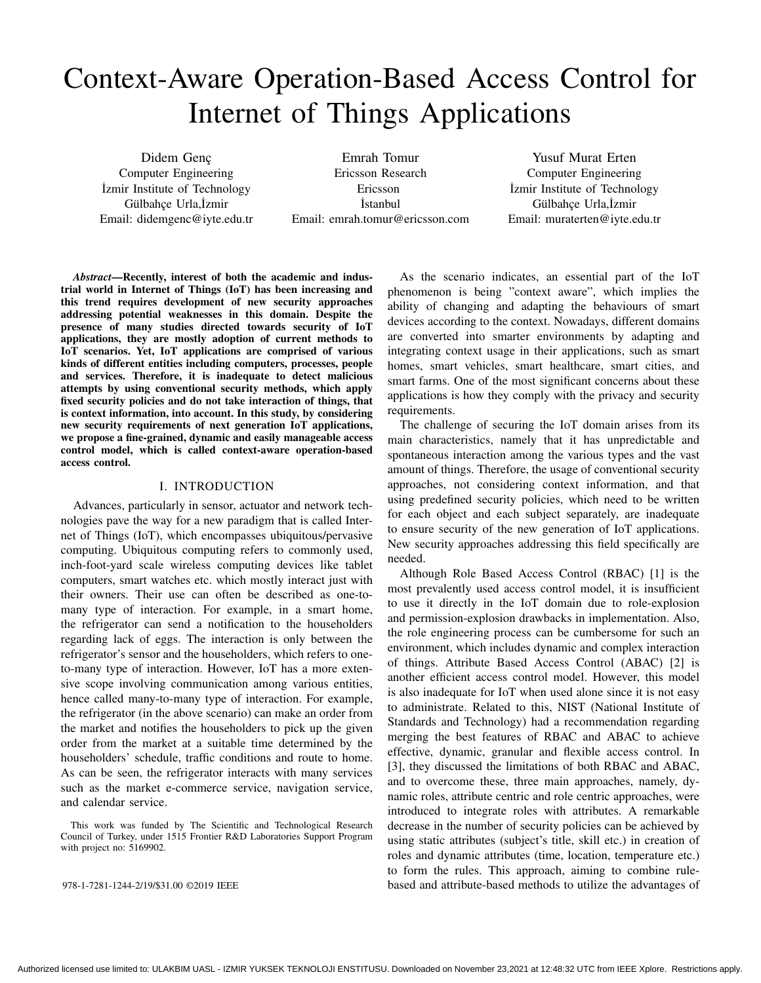# Context-Aware Operation-Based Access Control for Internet of Things Applications

Didem Genç Computer Engineering ˙Izmir Institute of Technology Gülbahçe Urla,İzmir Email: didemgenc@iyte.edu.tr

Emrah Tomur Ericsson Research Ericsson **İstanbul** Email: emrah.tomur@ericsson.com

Yusuf Murat Erten Computer Engineering ˙Izmir Institute of Technology Gülbahçe Urla,İzmir Email: muraterten@iyte.edu.tr

*Abstract*—Recently, interest of both the academic and industrial world in Internet of Things (IoT) has been increasing and this trend requires development of new security approaches addressing potential weaknesses in this domain. Despite the presence of many studies directed towards security of IoT applications, they are mostly adoption of current methods to IoT scenarios. Yet, IoT applications are comprised of various kinds of different entities including computers, processes, people and services. Therefore, it is inadequate to detect malicious attempts by using conventional security methods, which apply fixed security policies and do not take interaction of things, that is context information, into account. In this study, by considering new security requirements of next generation IoT applications, we propose a fine-grained, dynamic and easily manageable access control model, which is called context-aware operation-based access control.

# I. INTRODUCTION

Advances, particularly in sensor, actuator and network technologies pave the way for a new paradigm that is called Internet of Things (IoT), which encompasses ubiquitous/pervasive computing. Ubiquitous computing refers to commonly used, inch-foot-yard scale wireless computing devices like tablet computers, smart watches etc. which mostly interact just with their owners. Their use can often be described as one-tomany type of interaction. For example, in a smart home, the refrigerator can send a notification to the householders regarding lack of eggs. The interaction is only between the refrigerator's sensor and the householders, which refers to oneto-many type of interaction. However, IoT has a more extensive scope involving communication among various entities, hence called many-to-many type of interaction. For example, the refrigerator (in the above scenario) can make an order from the market and notifies the householders to pick up the given order from the market at a suitable time determined by the householders' schedule, traffic conditions and route to home. As can be seen, the refrigerator interacts with many services such as the market e-commerce service, navigation service, and calendar service.

This work was funded by The Scientific and Technological Research Council of Turkey, under 1515 Frontier R&D Laboratories Support Program with project no: 5169902.

As the scenario indicates, an essential part of the IoT phenomenon is being "context aware", which implies the ability of changing and adapting the behaviours of smart devices according to the context. Nowadays, different domains are converted into smarter environments by adapting and integrating context usage in their applications, such as smart homes, smart vehicles, smart healthcare, smart cities, and smart farms. One of the most significant concerns about these applications is how they comply with the privacy and security requirements.

The challenge of securing the IoT domain arises from its main characteristics, namely that it has unpredictable and spontaneous interaction among the various types and the vast amount of things. Therefore, the usage of conventional security approaches, not considering context information, and that using predefined security policies, which need to be written for each object and each subject separately, are inadequate to ensure security of the new generation of IoT applications. New security approaches addressing this field specifically are needed.

Although Role Based Access Control (RBAC) [1] is the most prevalently used access control model, it is insufficient to use it directly in the IoT domain due to role-explosion and permission-explosion drawbacks in implementation. Also, the role engineering process can be cumbersome for such an environment, which includes dynamic and complex interaction of things. Attribute Based Access Control (ABAC) [2] is another efficient access control model. However, this model is also inadequate for IoT when used alone since it is not easy to administrate. Related to this, NIST (National Institute of Standards and Technology) had a recommendation regarding merging the best features of RBAC and ABAC to achieve effective, dynamic, granular and flexible access control. In [3], they discussed the limitations of both RBAC and ABAC, and to overcome these, three main approaches, namely, dynamic roles, attribute centric and role centric approaches, were introduced to integrate roles with attributes. A remarkable decrease in the number of security policies can be achieved by using static attributes (subject's title, skill etc.) in creation of roles and dynamic attributes (time, location, temperature etc.) to form the rules. This approach, aiming to combine rule-978-1-7281-1244-2/19/\$31.00 ©2019 IEEE based and attribute-based methods to utilize the advantages of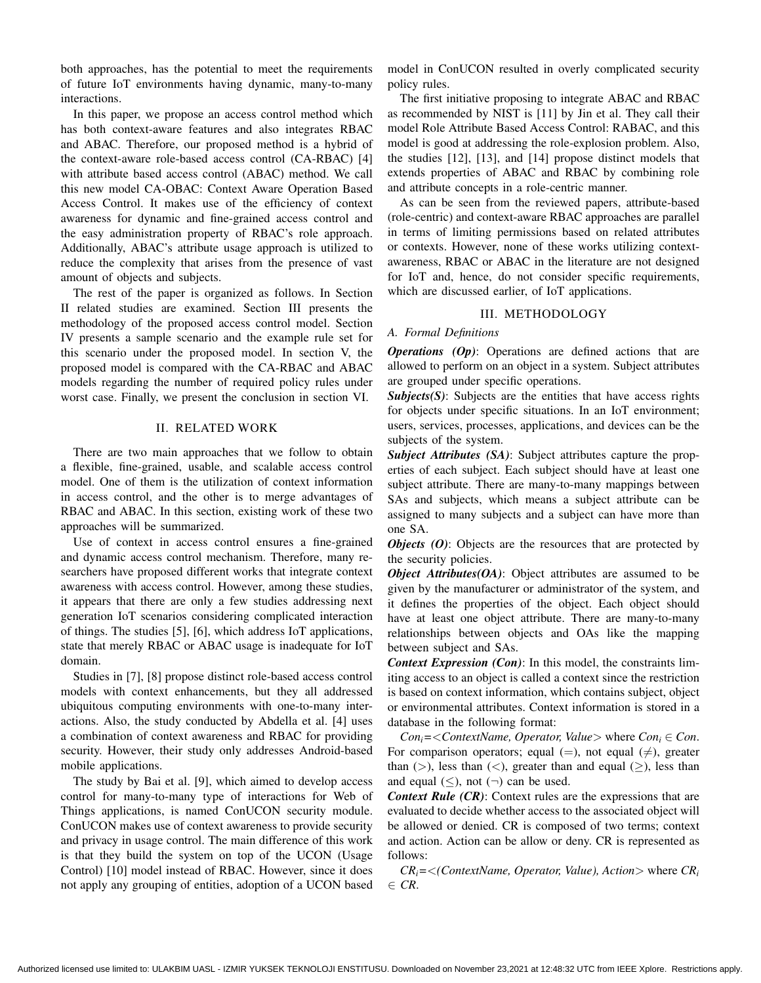both approaches, has the potential to meet the requirements of future IoT environments having dynamic, many-to-many interactions.

In this paper, we propose an access control method which has both context-aware features and also integrates RBAC and ABAC. Therefore, our proposed method is a hybrid of the context-aware role-based access control (CA-RBAC) [4] with attribute based access control (ABAC) method. We call this new model CA-OBAC: Context Aware Operation Based Access Control. It makes use of the efficiency of context awareness for dynamic and fine-grained access control and the easy administration property of RBAC's role approach. Additionally, ABAC's attribute usage approach is utilized to reduce the complexity that arises from the presence of vast amount of objects and subjects.

The rest of the paper is organized as follows. In Section II related studies are examined. Section III presents the methodology of the proposed access control model. Section IV presents a sample scenario and the example rule set for this scenario under the proposed model. In section V, the proposed model is compared with the CA-RBAC and ABAC models regarding the number of required policy rules under worst case. Finally, we present the conclusion in section VI.

#### II. RELATED WORK

There are two main approaches that we follow to obtain a flexible, fine-grained, usable, and scalable access control model. One of them is the utilization of context information in access control, and the other is to merge advantages of RBAC and ABAC. In this section, existing work of these two approaches will be summarized.

Use of context in access control ensures a fine-grained and dynamic access control mechanism. Therefore, many researchers have proposed different works that integrate context awareness with access control. However, among these studies, it appears that there are only a few studies addressing next generation IoT scenarios considering complicated interaction of things. The studies [5], [6], which address IoT applications, state that merely RBAC or ABAC usage is inadequate for IoT domain.

Studies in [7], [8] propose distinct role-based access control models with context enhancements, but they all addressed ubiquitous computing environments with one-to-many interactions. Also, the study conducted by Abdella et al. [4] uses a combination of context awareness and RBAC for providing security. However, their study only addresses Android-based mobile applications.

The study by Bai et al. [9], which aimed to develop access control for many-to-many type of interactions for Web of Things applications, is named ConUCON security module. ConUCON makes use of context awareness to provide security and privacy in usage control. The main difference of this work is that they build the system on top of the UCON (Usage Control) [10] model instead of RBAC. However, since it does not apply any grouping of entities, adoption of a UCON based

model in ConUCON resulted in overly complicated security policy rules.

The first initiative proposing to integrate ABAC and RBAC as recommended by NIST is [11] by Jin et al. They call their model Role Attribute Based Access Control: RABAC, and this model is good at addressing the role-explosion problem. Also, the studies [12], [13], and [14] propose distinct models that extends properties of ABAC and RBAC by combining role and attribute concepts in a role-centric manner.

As can be seen from the reviewed papers, attribute-based (role-centric) and context-aware RBAC approaches are parallel in terms of limiting permissions based on related attributes or contexts. However, none of these works utilizing contextawareness, RBAC or ABAC in the literature are not designed for IoT and, hence, do not consider specific requirements, which are discussed earlier, of IoT applications.

#### III. METHODOLOGY

# *A. Formal Definitions*

*Operations (Op)*: Operations are defined actions that are allowed to perform on an object in a system. Subject attributes are grouped under specific operations.

*Subjects(S)*: Subjects are the entities that have access rights for objects under specific situations. In an IoT environment; users, services, processes, applications, and devices can be the subjects of the system.

*Subject Attributes (SA)*: Subject attributes capture the properties of each subject. Each subject should have at least one subject attribute. There are many-to-many mappings between SAs and subjects, which means a subject attribute can be assigned to many subjects and a subject can have more than one SA.

*Objects (O)*: Objects are the resources that are protected by the security policies.

*Object Attributes(OA)*: Object attributes are assumed to be given by the manufacturer or administrator of the system, and it defines the properties of the object. Each object should have at least one object attribute. There are many-to-many relationships between objects and OAs like the mapping between subject and SAs.

*Context Expression (Con)*: In this model, the constraints limiting access to an object is called a context since the restriction is based on context information, which contains subject, object or environmental attributes. Context information is stored in a database in the following format:

*Con*<sub>*i*</sub> =  $\langle$  *ContextName, Operator, Value*  $>$  where *Con*<sub>*i*</sub>  $\in$  *Con*. For comparison operators; equal (=), not equal ( $\neq$ ), greater than ( $>$ ), less than ( $<$ ), greater than and equal ( $\geq$ ), less than and equal  $(\le)$ , not  $(\neg)$  can be used.

*Context Rule (CR)*: Context rules are the expressions that are evaluated to decide whether access to the associated object will be allowed or denied. CR is composed of two terms; context and action. Action can be allow or deny. CR is represented as follows:

 $CR_i = \langle$  (ContextName, Operator, Value), Action > where  $CR_i$ ∈ *CR*.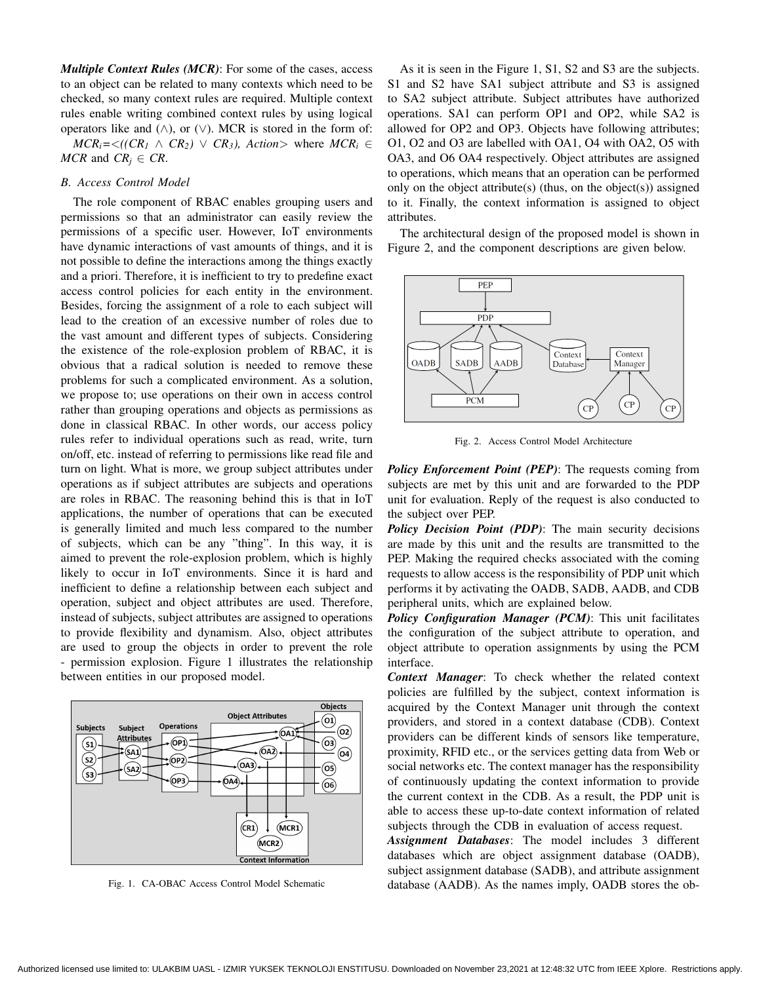*Multiple Context Rules (MCR)*: For some of the cases, access to an object can be related to many contexts which need to be checked, so many context rules are required. Multiple context rules enable writing combined context rules by using logical operators like and  $(∧)$ , or  $(∨)$ . MCR is stored in the form of:

 $MCR_i = \langle (CR_1 \land CR_2) \lor CR_3 \rangle$ , Action> where  $MCR_i \in$ *MCR* and  $CR_i \in CR$ .

#### *B. Access Control Model*

The role component of RBAC enables grouping users and permissions so that an administrator can easily review the permissions of a specific user. However, IoT environments have dynamic interactions of vast amounts of things, and it is not possible to define the interactions among the things exactly and a priori. Therefore, it is inefficient to try to predefine exact access control policies for each entity in the environment. Besides, forcing the assignment of a role to each subject will lead to the creation of an excessive number of roles due to the vast amount and different types of subjects. Considering the existence of the role-explosion problem of RBAC, it is obvious that a radical solution is needed to remove these problems for such a complicated environment. As a solution, we propose to; use operations on their own in access control rather than grouping operations and objects as permissions as done in classical RBAC. In other words, our access policy rules refer to individual operations such as read, write, turn on/off, etc. instead of referring to permissions like read file and turn on light. What is more, we group subject attributes under operations as if subject attributes are subjects and operations are roles in RBAC. The reasoning behind this is that in IoT applications, the number of operations that can be executed is generally limited and much less compared to the number of subjects, which can be any "thing". In this way, it is aimed to prevent the role-explosion problem, which is highly likely to occur in IoT environments. Since it is hard and inefficient to define a relationship between each subject and operation, subject and object attributes are used. Therefore, instead of subjects, subject attributes are assigned to operations to provide flexibility and dynamism. Also, object attributes are used to group the objects in order to prevent the role - permission explosion. Figure 1 illustrates the relationship between entities in our proposed model.



Fig. 1. CA-OBAC Access Control Model Schematic

As it is seen in the Figure 1, S1, S2 and S3 are the subjects. S1 and S2 have SA1 subject attribute and S3 is assigned to SA2 subject attribute. Subject attributes have authorized operations. SA1 can perform OP1 and OP2, while SA2 is allowed for OP2 and OP3. Objects have following attributes; O1, O2 and O3 are labelled with OA1, O4 with OA2, O5 with OA3, and O6 OA4 respectively. Object attributes are assigned to operations, which means that an operation can be performed only on the object attribute(s) (thus, on the object(s)) assigned to it. Finally, the context information is assigned to object attributes.

The architectural design of the proposed model is shown in Figure 2, and the component descriptions are given below.



Fig. 2. Access Control Model Architecture

*Policy Enforcement Point (PEP)*: The requests coming from subjects are met by this unit and are forwarded to the PDP unit for evaluation. Reply of the request is also conducted to the subject over PEP.

*Policy Decision Point (PDP)*: The main security decisions are made by this unit and the results are transmitted to the PEP. Making the required checks associated with the coming requests to allow access is the responsibility of PDP unit which performs it by activating the OADB, SADB, AADB, and CDB peripheral units, which are explained below.

*Policy Configuration Manager (PCM)*: This unit facilitates the configuration of the subject attribute to operation, and object attribute to operation assignments by using the PCM interface.

*Context Manager*: To check whether the related context policies are fulfilled by the subject, context information is acquired by the Context Manager unit through the context providers, and stored in a context database (CDB). Context providers can be different kinds of sensors like temperature, proximity, RFID etc., or the services getting data from Web or social networks etc. The context manager has the responsibility of continuously updating the context information to provide the current context in the CDB. As a result, the PDP unit is able to access these up-to-date context information of related subjects through the CDB in evaluation of access request.

*Assignment Databases*: The model includes 3 different databases which are object assignment database (OADB), subject assignment database (SADB), and attribute assignment database (AADB). As the names imply, OADB stores the ob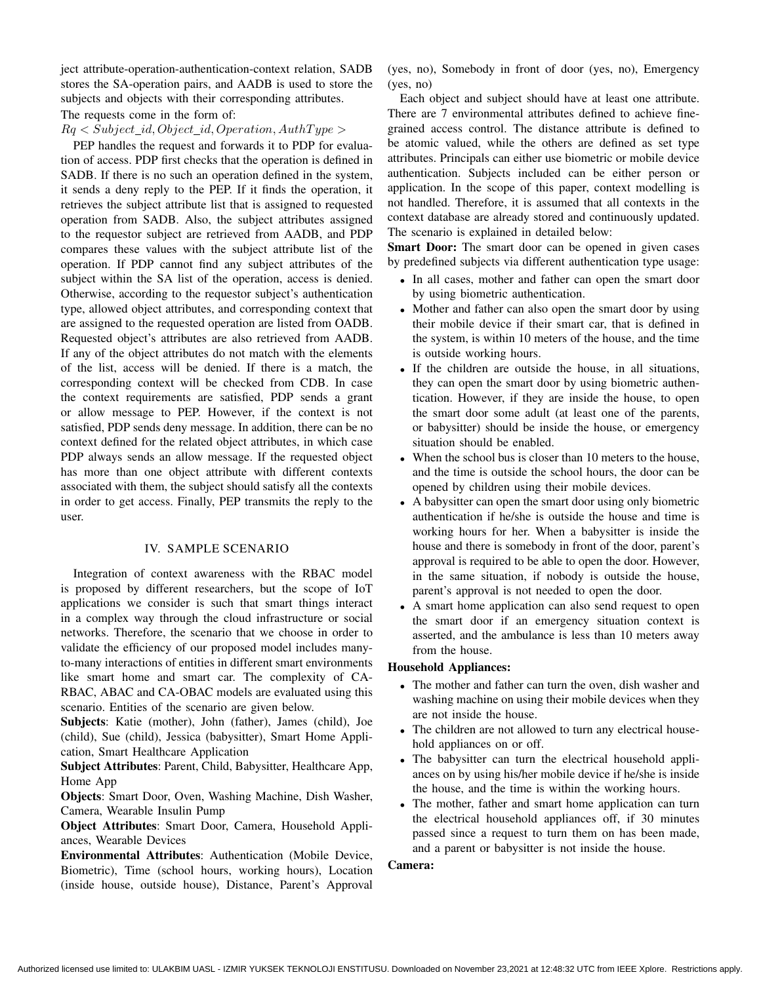ject attribute-operation-authentication-context relation, SADB stores the SA-operation pairs, and AADB is used to store the subjects and objects with their corresponding attributes.

#### The requests come in the form of:

## $Rq <$  Subject\_id, Object\_id, Operation, AuthType >

PEP handles the request and forwards it to PDP for evaluation of access. PDP first checks that the operation is defined in SADB. If there is no such an operation defined in the system, it sends a deny reply to the PEP. If it finds the operation, it retrieves the subject attribute list that is assigned to requested operation from SADB. Also, the subject attributes assigned to the requestor subject are retrieved from AADB, and PDP compares these values with the subject attribute list of the operation. If PDP cannot find any subject attributes of the subject within the SA list of the operation, access is denied. Otherwise, according to the requestor subject's authentication type, allowed object attributes, and corresponding context that are assigned to the requested operation are listed from OADB. Requested object's attributes are also retrieved from AADB. If any of the object attributes do not match with the elements of the list, access will be denied. If there is a match, the corresponding context will be checked from CDB. In case the context requirements are satisfied, PDP sends a grant or allow message to PEP. However, if the context is not satisfied, PDP sends deny message. In addition, there can be no context defined for the related object attributes, in which case PDP always sends an allow message. If the requested object has more than one object attribute with different contexts associated with them, the subject should satisfy all the contexts in order to get access. Finally, PEP transmits the reply to the user.

## IV. SAMPLE SCENARIO

Integration of context awareness with the RBAC model is proposed by different researchers, but the scope of IoT applications we consider is such that smart things interact in a complex way through the cloud infrastructure or social networks. Therefore, the scenario that we choose in order to validate the efficiency of our proposed model includes manyto-many interactions of entities in different smart environments like smart home and smart car. The complexity of CA-RBAC, ABAC and CA-OBAC models are evaluated using this scenario. Entities of the scenario are given below.

Subjects: Katie (mother), John (father), James (child), Joe (child), Sue (child), Jessica (babysitter), Smart Home Application, Smart Healthcare Application

Subject Attributes: Parent, Child, Babysitter, Healthcare App, Home App

Objects: Smart Door, Oven, Washing Machine, Dish Washer, Camera, Wearable Insulin Pump

Object Attributes: Smart Door, Camera, Household Appliances, Wearable Devices

Environmental Attributes: Authentication (Mobile Device, Biometric), Time (school hours, working hours), Location (inside house, outside house), Distance, Parent's Approval

(yes, no), Somebody in front of door (yes, no), Emergency (yes, no)

Each object and subject should have at least one attribute. There are 7 environmental attributes defined to achieve finegrained access control. The distance attribute is defined to be atomic valued, while the others are defined as set type attributes. Principals can either use biometric or mobile device authentication. Subjects included can be either person or application. In the scope of this paper, context modelling is not handled. Therefore, it is assumed that all contexts in the context database are already stored and continuously updated. The scenario is explained in detailed below:

Smart Door: The smart door can be opened in given cases by predefined subjects via different authentication type usage:

- In all cases, mother and father can open the smart door by using biometric authentication.
- Mother and father can also open the smart door by using their mobile device if their smart car, that is defined in the system, is within 10 meters of the house, and the time is outside working hours.
- If the children are outside the house, in all situations, they can open the smart door by using biometric authentication. However, if they are inside the house, to open the smart door some adult (at least one of the parents, or babysitter) should be inside the house, or emergency situation should be enabled.
- When the school bus is closer than 10 meters to the house, and the time is outside the school hours, the door can be opened by children using their mobile devices.
- A babysitter can open the smart door using only biometric authentication if he/she is outside the house and time is working hours for her. When a babysitter is inside the house and there is somebody in front of the door, parent's approval is required to be able to open the door. However, in the same situation, if nobody is outside the house, parent's approval is not needed to open the door.
- A smart home application can also send request to open the smart door if an emergency situation context is asserted, and the ambulance is less than 10 meters away from the house.

# Household Appliances:

- The mother and father can turn the oven, dish washer and washing machine on using their mobile devices when they are not inside the house.
- The children are not allowed to turn any electrical household appliances on or off.
- The babysitter can turn the electrical household appliances on by using his/her mobile device if he/she is inside the house, and the time is within the working hours.
- The mother, father and smart home application can turn the electrical household appliances off, if 30 minutes passed since a request to turn them on has been made, and a parent or babysitter is not inside the house.

# Camera: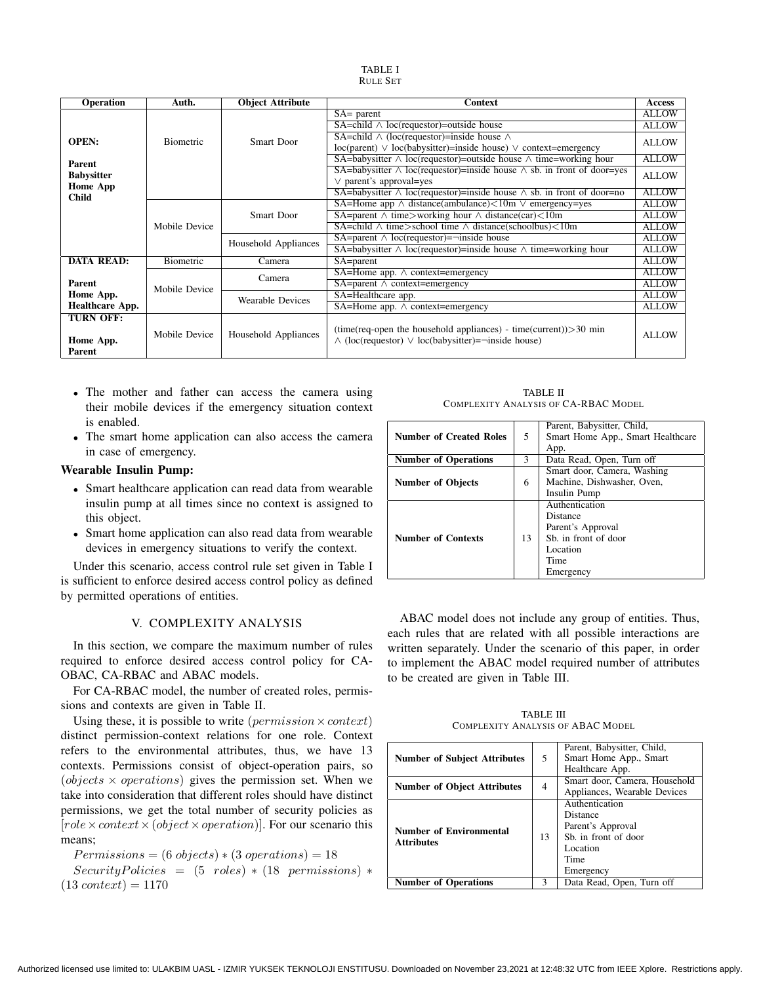| TABLE I         |  |
|-----------------|--|
| <b>RULE SET</b> |  |

| <b>Operation</b>       | Auth.            | <b>Object Attribute</b> | <b>Context</b>                                                                     | Access       |
|------------------------|------------------|-------------------------|------------------------------------------------------------------------------------|--------------|
|                        |                  |                         | $SA = parent$                                                                      | <b>ALLOW</b> |
|                        |                  |                         | $SA = child \wedge loc(requestor) = outside house$                                 | <b>ALLOW</b> |
| <b>OPEN:</b>           | <b>Biometric</b> | Smart Door              | SA=child $\wedge$ (loc(requestor)=inside house $\wedge$                            | <b>ALLOW</b> |
|                        |                  |                         | $loc(parent) \vee loc(babvsitter)= inside house) \vee context= emergency$          |              |
| Parent                 |                  |                         | SA=babysitter $\wedge$ loc(requestor)=outside house $\wedge$ time=working hour     | <b>ALLOW</b> |
| <b>Babysitter</b>      |                  |                         | SA=babysitter $\land$ loc(requestor)=inside house $\land$ sb. in front of door=yes | <b>ALLOW</b> |
| <b>Home App</b>        |                  |                         | $\vee$ parent's approval=yes                                                       |              |
| <b>Child</b>           |                  |                         | SA=babysitter $\land$ loc(requestor)=inside house $\land$ sb. in front of door=no  | <b>ALLOW</b> |
|                        |                  |                         | SA=Home app $\land$ distance(ambulance) $\lt 10$ m $\lor$ emergency=yes            | <b>ALLOW</b> |
|                        |                  | Smart Door              | SA=parent $\land$ time>working hour $\land$ distance(car)<10m                      | <b>ALLOW</b> |
|                        | Mobile Device    |                         | SA=child $\land$ time>school time $\land$ distance(schoolbus)<10m                  | <b>ALLOW</b> |
|                        |                  | Household Appliances    | SA=parent $\land$ loc(requestor)= $\neg$ inside house                              | <b>ALLOW</b> |
|                        |                  |                         | SA=babysitter $\wedge$ loc(requestor)=inside house $\wedge$ time=working hour      | <b>ALLOW</b> |
| <b>DATA READ:</b>      | Biometric        | Camera                  | SA=parent                                                                          | <b>ALLOW</b> |
|                        |                  | Camera                  | SA=Home app. $\land$ context=emergency                                             | <b>ALLOW</b> |
| Parent                 | Mobile Device    |                         | $SA = parent \land context = emergency$                                            | <b>ALLOW</b> |
| Home App.              |                  | <b>Wearable Devices</b> | SA=Healthcare app.                                                                 | <b>ALLOW</b> |
| <b>Healthcare App.</b> |                  |                         | $SA=Home$ app. $\land$ context=emergency                                           | <b>ALLOW</b> |
| <b>TURN OFF:</b>       |                  |                         |                                                                                    |              |
|                        | Mobile Device    | Household Appliances    | $(time(req-open the household appliances) - time(current)) > 30 min$               | <b>ALLOW</b> |
| Home App.              |                  |                         | $\wedge$ (loc(requestor) $\vee$ loc(babysitter)=-inside house)                     |              |
| Parent                 |                  |                         |                                                                                    |              |

- The mother and father can access the camera using their mobile devices if the emergency situation context is enabled.
- The smart home application can also access the camera in case of emergency.

#### Wearable Insulin Pump:

- Smart healthcare application can read data from wearable insulin pump at all times since no context is assigned to this object.
- Smart home application can also read data from wearable devices in emergency situations to verify the context.

Under this scenario, access control rule set given in Table I is sufficient to enforce desired access control policy as defined by permitted operations of entities.

# V. COMPLEXITY ANALYSIS

In this section, we compare the maximum number of rules required to enforce desired access control policy for CA-OBAC, CA-RBAC and ABAC models.

For CA-RBAC model, the number of created roles, permissions and contexts are given in Table II.

Using these, it is possible to write (*permission*  $\times$  *context*) distinct permission-context relations for one role. Context refers to the environmental attributes, thus, we have 13 contexts. Permissions consist of object-operation pairs, so (*objects*  $\times$  *operations*) gives the permission set. When we take into consideration that different roles should have distinct permissions, we get the total number of security policies as  $[role \times context \times (object \times operation)].$  For our scenario this means;

 $Permissions = (6 objects) * (3 operations) = 18$  $SecurityPolitics = (5 roles) * (18 permissions) *$  $(13 context) = 1170$ 

TABLE II COMPLEXITY ANALYSIS OF CA-RBAC MODEL

|                                |    | Parent, Babysitter, Child,        |  |
|--------------------------------|----|-----------------------------------|--|
| <b>Number of Created Roles</b> | 5  | Smart Home App., Smart Healthcare |  |
|                                |    | App.                              |  |
| <b>Number of Operations</b>    | 3  | Data Read, Open, Turn off         |  |
|                                |    | Smart door, Camera, Washing       |  |
| <b>Number of Objects</b>       | 6  | Machine, Dishwasher, Oven,        |  |
|                                |    | Insulin Pump                      |  |
|                                |    | Authentication                    |  |
|                                |    | Distance                          |  |
|                                |    | Parent's Approval                 |  |
| <b>Number of Contexts</b>      | 13 | Sb. in front of door              |  |
|                                |    | Location                          |  |
|                                |    | Time                              |  |
|                                |    | Emergency                         |  |

ABAC model does not include any group of entities. Thus, each rules that are related with all possible interactions are written separately. Under the scenario of this paper, in order to implement the ABAC model required number of attributes to be created are given in Table III.

TABLE III COMPLEXITY ANALYSIS OF ABAC MODEL

| 5<br><b>Number of Subject Attributes</b>            |                                                                    | Parent, Babysitter, Child,<br>Smart Home App., Smart<br>Healthcare App.                                  |
|-----------------------------------------------------|--------------------------------------------------------------------|----------------------------------------------------------------------------------------------------------|
| <b>Number of Object Attributes</b>                  | Smart door, Camera, Household<br>4<br>Appliances, Wearable Devices |                                                                                                          |
| <b>Number of Environmental</b><br><b>Attributes</b> | 13                                                                 | Authentication<br>Distance<br>Parent's Approval<br>Sb. in front of door<br>Location<br>Time<br>Emergency |
| <b>Number of Operations</b>                         | ٩                                                                  | Data Read, Open, Turn off                                                                                |